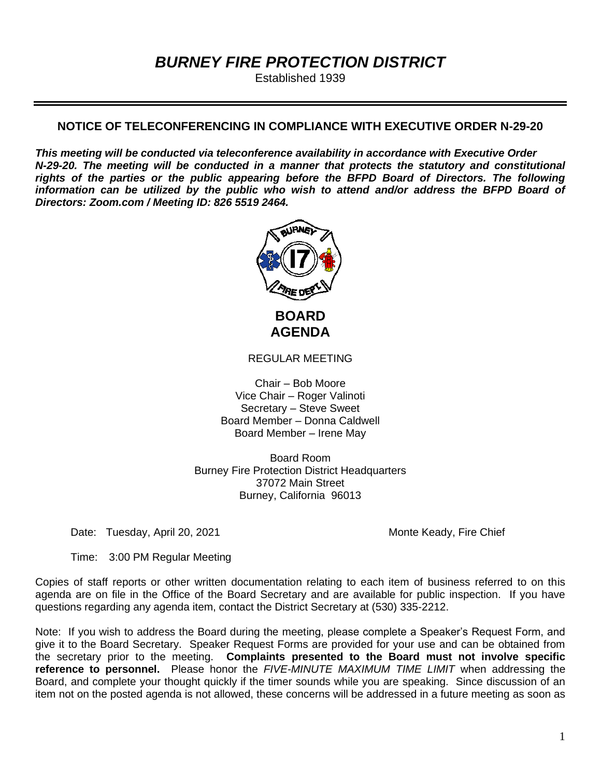Established 1939

# **NOTICE OF TELECONFERENCING IN COMPLIANCE WITH EXECUTIVE ORDER N-29-20**

*This meeting will be conducted via teleconference availability in accordance with Executive Order N-29-20. The meeting will be conducted in a manner that protects the statutory and constitutional*  rights of the parties or the public appearing before the BFPD Board of Directors. The following information can be utilized by the public who wish to attend and/or address the BFPD Board of *Directors: Zoom.com / Meeting ID: 826 5519 2464.*



REGULAR MEETING

Chair – Bob Moore Vice Chair – Roger Valinoti Secretary – Steve Sweet Board Member – Donna Caldwell Board Member – Irene May

Board Room Burney Fire Protection District Headquarters 37072 Main Street Burney, California 96013

Date: Tuesday, April 20, 2021 Monte Keady, Fire Chief

Time: 3:00 PM Regular Meeting

Copies of staff reports or other written documentation relating to each item of business referred to on this agenda are on file in the Office of the Board Secretary and are available for public inspection. If you have questions regarding any agenda item, contact the District Secretary at (530) 335-2212.

Note: If you wish to address the Board during the meeting, please complete a Speaker's Request Form, and give it to the Board Secretary. Speaker Request Forms are provided for your use and can be obtained from the secretary prior to the meeting. **Complaints presented to the Board must not involve specific reference to personnel.** Please honor the *FIVE-MINUTE MAXIMUM TIME LIMIT* when addressing the Board, and complete your thought quickly if the timer sounds while you are speaking. Since discussion of an item not on the posted agenda is not allowed, these concerns will be addressed in a future meeting as soon as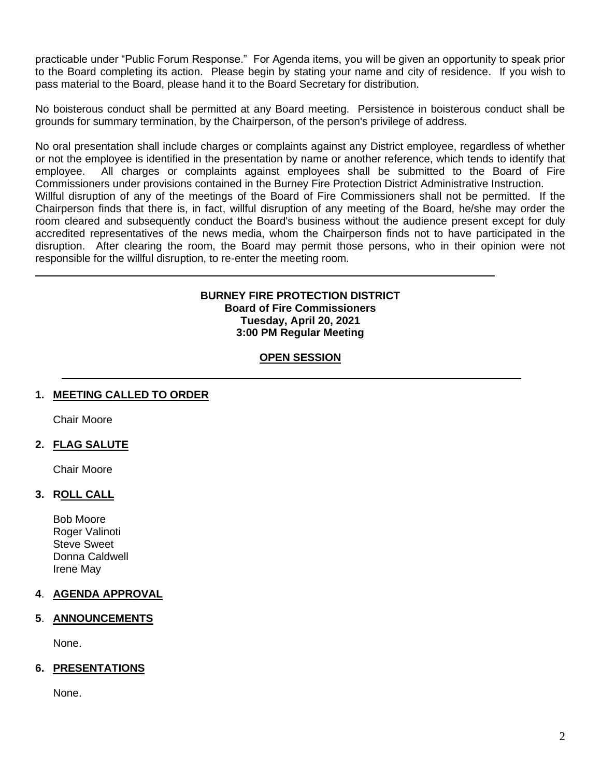practicable under "Public Forum Response." For Agenda items, you will be given an opportunity to speak prior to the Board completing its action. Please begin by stating your name and city of residence. If you wish to pass material to the Board, please hand it to the Board Secretary for distribution.

No boisterous conduct shall be permitted at any Board meeting. Persistence in boisterous conduct shall be grounds for summary termination, by the Chairperson, of the person's privilege of address.

No oral presentation shall include charges or complaints against any District employee, regardless of whether or not the employee is identified in the presentation by name or another reference, which tends to identify that employee. All charges or complaints against employees shall be submitted to the Board of Fire Commissioners under provisions contained in the Burney Fire Protection District Administrative Instruction. Willful disruption of any of the meetings of the Board of Fire Commissioners shall not be permitted. If the Chairperson finds that there is, in fact, willful disruption of any meeting of the Board, he/she may order the room cleared and subsequently conduct the Board's business without the audience present except for duly accredited representatives of the news media, whom the Chairperson finds not to have participated in the disruption. After clearing the room, the Board may permit those persons, who in their opinion were not responsible for the willful disruption, to re-enter the meeting room.

# **BURNEY FIRE PROTECTION DISTRICT Board of Fire Commissioners Tuesday, April 20, 2021 3:00 PM Regular Meeting**

# **OPEN SESSION**

# **1. MEETING CALLED TO ORDER**

Chair Moore

# **2. FLAG SALUTE**

Chair Moore

# **3. ROLL CALL**

Bob Moore Roger Valinoti Steve Sweet Donna Caldwell Irene May

# **4**. **AGENDA APPROVAL**

### **5**. **ANNOUNCEMENTS**

None.

# **6. PRESENTATIONS**

None.